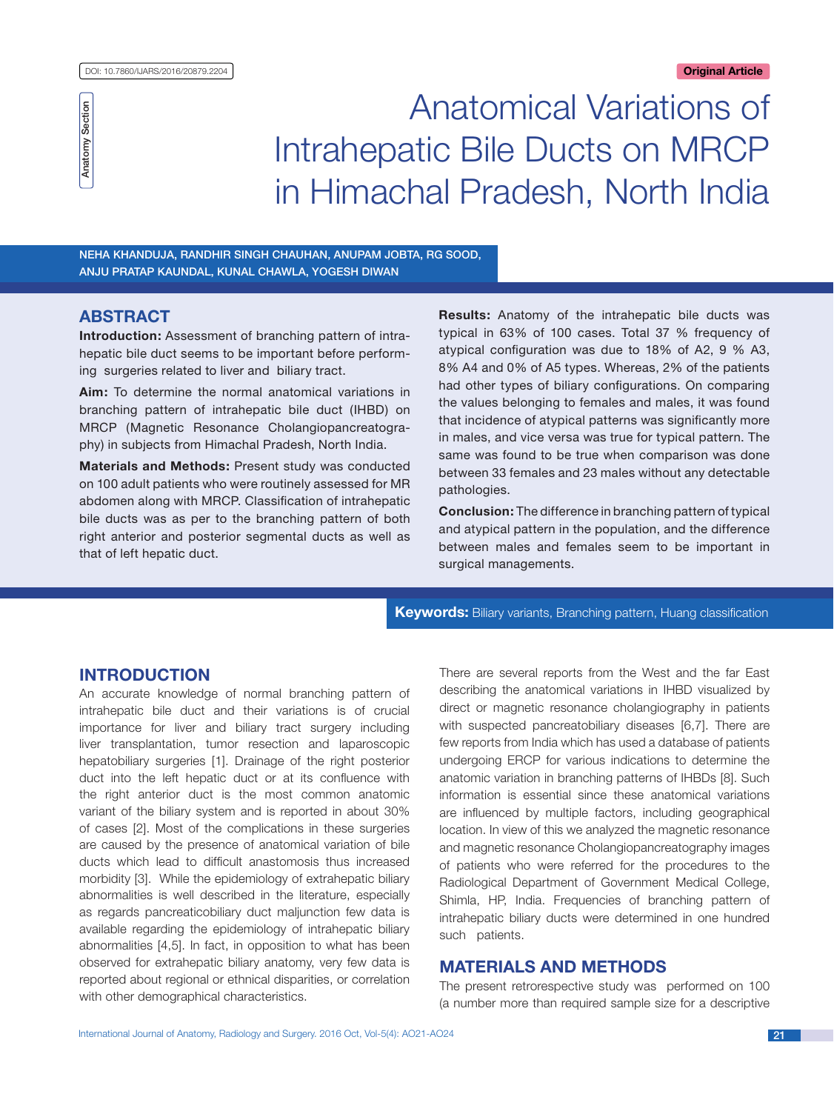

Anatomical Variations of Intrahepatic Bile Ducts on MRCP in Himachal Pradesh, North India

Neha Khanduja, Randhir Singh Chauhan, Anupam Jobta, RG Sood, Anju Pratap Kaundal, Kunal Chawla, Yogesh Diwan

# **ABSTRACT**

**Introduction:** Assessment of branching pattern of intrahepatic bile duct seems to be important before performing surgeries related to liver and biliary tract.

**Aim:** To determine the normal anatomical variations in branching pattern of intrahepatic bile duct (IHBD) on MRCP (Magnetic Resonance Cholangiopancreatography) in subjects from Himachal Pradesh, North India.

**Materials and Methods:** Present study was conducted on 100 adult patients who were routinely assessed for MR abdomen along with MRCP. Classification of intrahepatic bile ducts was as per to the branching pattern of both right anterior and posterior segmental ducts as well as that of left hepatic duct.

**Results:** Anatomy of the intrahepatic bile ducts was typical in 63% of 100 cases. Total 37 % frequency of atypical configuration was due to 18% of A2, 9 % A3, 8% A4 and 0% of A5 types. Whereas, 2% of the patients had other types of biliary configurations. On comparing the values belonging to females and males, it was found that incidence of atypical patterns was significantly more in males, and vice versa was true for typical pattern. The same was found to be true when comparison was done between 33 females and 23 males without any detectable pathologies.

**Conclusion:** The difference in branching pattern of typical and atypical pattern in the population, and the difference between males and females seem to be important in surgical managements.

**Keywords:** Biliary variants, Branching pattern, Huang classification

# **Introduction**

An accurate knowledge of normal branching pattern of intrahepatic bile duct and their variations is of crucial importance for liver and biliary tract surgery including liver transplantation, tumor resection and laparoscopic hepatobiliary surgeries [1]. Drainage of the right posterior duct into the left hepatic duct or at its confluence with the right anterior duct is the most common anatomic variant of the biliary system and is reported in about 30% of cases [2]. Most of the complications in these surgeries are caused by the presence of anatomical variation of bile ducts which lead to difficult anastomosis thus increased morbidity [3]. While the epidemiology of extrahepatic biliary abnormalities is well described in the literature, especially as regards pancreaticobiliary duct maljunction few data is available regarding the epidemiology of intrahepatic biliary abnormalities [4,5]. In fact, in opposition to what has been observed for extrahepatic biliary anatomy, very few data is reported about regional or ethnical disparities, or correlation with other demographical characteristics.

There are several reports from the West and the far East describing the anatomical variations in IHBD visualized by direct or magnetic resonance cholangiography in patients with suspected pancreatobiliary diseases [6,7]. There are few reports from India which has used a database of patients undergoing ERCP for various indications to determine the anatomic variation in branching patterns of IHBDs [8]. Such information is essential since these anatomical variations are influenced by multiple factors, including geographical location. In view of this we analyzed the magnetic resonance and magnetic resonance Cholangiopancreatography images of patients who were referred for the procedures to the Radiological Department of Government Medical College, Shimla, HP, India. Frequencies of branching pattern of intrahepatic biliary ducts were determined in one hundred such patients.

# **Materials and Methods**

The present retrorespective study was performed on 100 (a number more than required sample size for a descriptive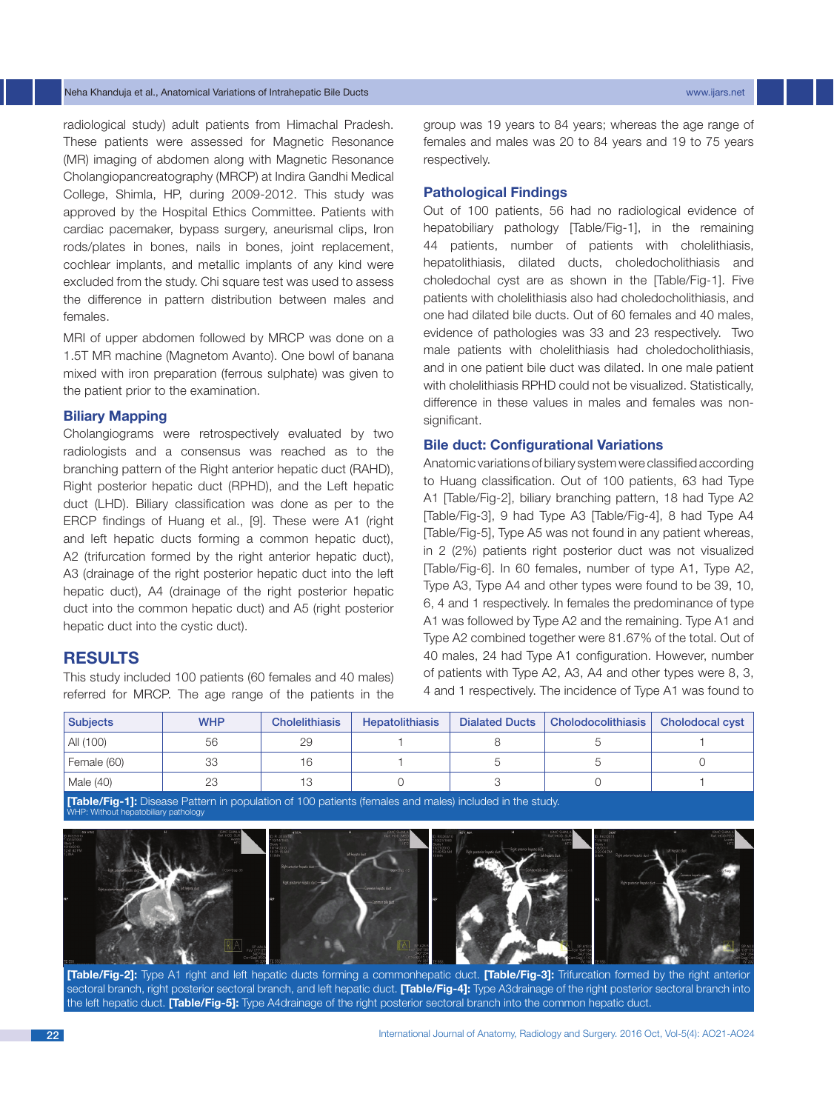## Neha Khanduja et al., Anatomical Variations of Intrahepatic Bile Ducts www.ijars.net

radiological study) adult patients from Himachal Pradesh. These patients were assessed for Magnetic Resonance (MR) imaging of abdomen along with Magnetic Resonance Cholangiopancreatography (MRCP) at Indira Gandhi Medical College, Shimla, HP, during 2009-2012. This study was approved by the Hospital Ethics Committee. Patients with cardiac pacemaker, bypass surgery, aneurismal clips, Iron rods/plates in bones, nails in bones, joint replacement, cochlear implants, and metallic implants of any kind were excluded from the study. Chi square test was used to assess the difference in pattern distribution between males and females.

MRI of upper abdomen followed by MRCP was done on a 1.5T MR machine (Magnetom Avanto). One bowl of banana mixed with iron preparation (ferrous sulphate) was given to the patient prior to the examination.

# **Biliary Mapping**

Cholangiograms were retrospectively evaluated by two radiologists and a consensus was reached as to the branching pattern of the Right anterior hepatic duct (RAHD), Right posterior hepatic duct (RPHD), and the Left hepatic duct (LHD). Biliary classification was done as per to the ERCP findings of Huang et al., [9]. These were A1 (right and left hepatic ducts forming a common hepatic duct), A2 (trifurcation formed by the right anterior hepatic duct), A3 (drainage of the right posterior hepatic duct into the left hepatic duct), A4 (drainage of the right posterior hepatic duct into the common hepatic duct) and A5 (right posterior hepatic duct into the cystic duct).

# **Results**

This study included 100 patients (60 females and 40 males) referred for MRCP. The age range of the patients in the group was 19 years to 84 years; whereas the age range of females and males was 20 to 84 years and 19 to 75 years respectively.

## **Pathological Findings**

Out of 100 patients, 56 had no radiological evidence of hepatobiliary pathology [Table/Fig-1], in the remaining 44 patients, number of patients with cholelithiasis, hepatolithiasis, dilated ducts, choledocholithiasis and choledochal cyst are as shown in the [Table/Fig-1]. Five patients with cholelithiasis also had choledocholithiasis, and one had dilated bile ducts. Out of 60 females and 40 males, evidence of pathologies was 33 and 23 respectively. Two male patients with cholelithiasis had choledocholithiasis, and in one patient bile duct was dilated. In one male patient with cholelithiasis RPHD could not be visualized. Statistically, difference in these values in males and females was nonsignificant.

### **Bile duct: Configurational Variations**

Anatomic variations of biliary system were classified according to Huang classification. Out of 100 patients, 63 had Type A1 [Table/Fig-2], biliary branching pattern, 18 had Type A2 [Table/Fig-3], 9 had Type A3 [Table/Fig-4], 8 had Type A4 [Table/Fig-5], Type A5 was not found in any patient whereas, in 2 (2%) patients right posterior duct was not visualized [Table/Fig-6]. In 60 females, number of type A1, Type A2, Type A3, Type A4 and other types were found to be 39, 10, 6, 4 and 1 respectively. In females the predominance of type A1 was followed by Type A2 and the remaining. Type A1 and Type A2 combined together were 81.67% of the total. Out of 40 males, 24 had Type A1 configuration. However, number of patients with Type A2, A3, A4 and other types were 8, 3, 4 and 1 respectively. The incidence of Type A1 was found to

| <b>Subjects</b> | <b>WHP</b> | <b>Cholelithiasis</b> | <b>Hepatolithiasis</b> | <b>Dialated Ducts</b> | <b>Cholodocolithiasis</b> | <b>Cholodocal cyst</b> |
|-----------------|------------|-----------------------|------------------------|-----------------------|---------------------------|------------------------|
| All (100)       | 56         | 29                    |                        |                       |                           |                        |
| Female (60)     | 33         | 16                    |                        |                       |                           |                        |
| Male (40)       | 23         | 13                    |                        |                       |                           |                        |

**[Table/Fig-1]:** Disease Pattern in population of 100 patients (females and males) included in the study. WHP: Without hepatobiliary pathology



**[Table/Fig-2]:** Type A1 right and left hepatic ducts forming a commonhepatic duct. **[Table/Fig-3]:** Trifurcation formed by the right anterior sectoral branch, right posterior sectoral branch, and left hepatic duct. **[Table/Fig-4]:** Type A3drainage of the right posterior sectoral branch into the left hepatic duct. **[Table/Fig-5]:** Type A4drainage of the right posterior sectoral branch into the common hepatic duct.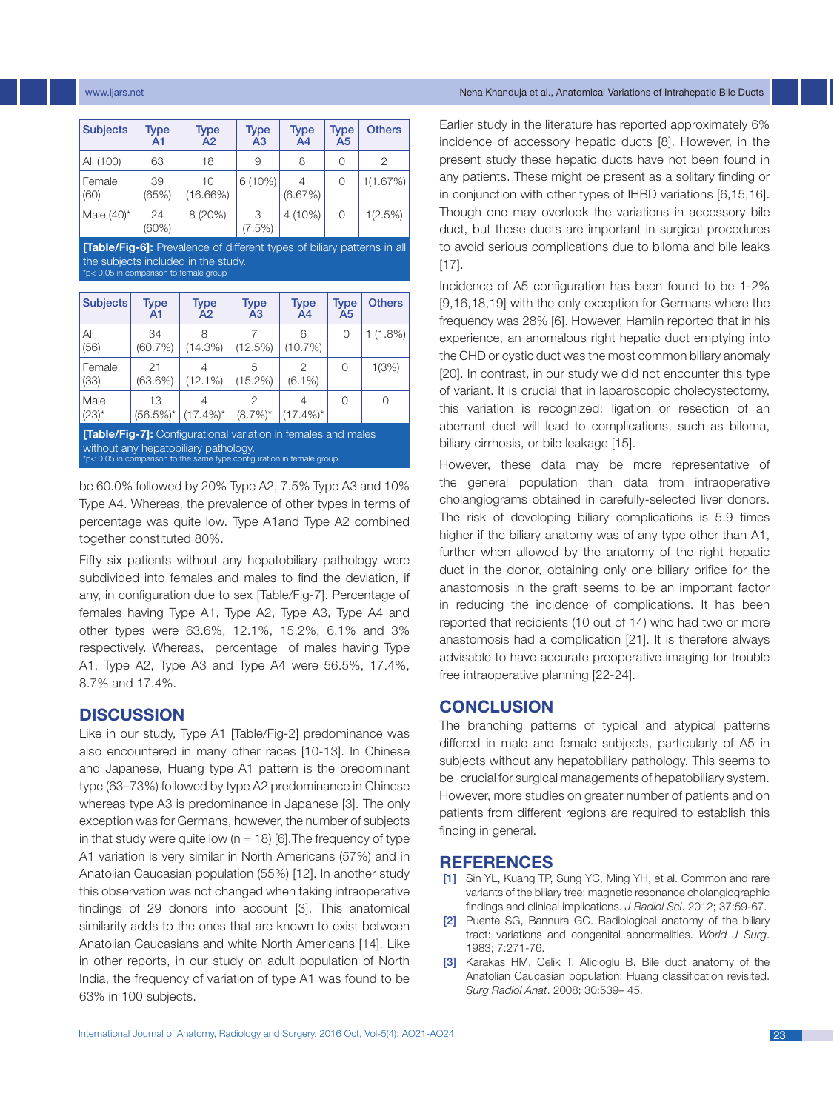| <b>Subjects</b> | <b>Type</b><br>A1 | Type<br>A2        | <b>Type</b><br>A <sub>3</sub> | <b>Type</b><br>A <sub>4</sub> | <b>Type</b><br>A5 | <b>Others</b> |
|-----------------|-------------------|-------------------|-------------------------------|-------------------------------|-------------------|---------------|
| All (100)       | 63                | 18                | 9                             | 8                             | 0                 | 2             |
| Female<br>(60)  | 39<br>(65%)       | 10<br>$(16.66\%)$ | $6(10\%)$                     | (6.67%)                       | 0                 | 1(1.67%)      |
| Male $(40)^*$   | 24<br>(60%)       | 8 (20%)           | 3<br>(7.5%)                   | $4(10\%)$                     | 0                 | 1(2.5%)       |

**[Table/Fig-6]:** Prevalence of different types of biliary patterns in all the subjects included in the study. \*p< 0.05 in comparison to female group

| <b>Subjects</b>                                                      | <b>Type</b><br>A1 | <b>Type</b><br>A2                      | <b>Type</b><br>A <sub>3</sub> | <b>Type</b><br>A4 | <b>Type</b><br>A <sub>5</sub> | <b>Others</b> |  |
|----------------------------------------------------------------------|-------------------|----------------------------------------|-------------------------------|-------------------|-------------------------------|---------------|--|
| All<br>(56)                                                          | 34<br>(60.7%)     | 8<br>$(14.3\%)$                        | (12.5%)                       | 6<br>$(10.7\%)$   | $\Omega$                      | $1(1.8\%)$    |  |
| Female<br>(33)                                                       | 21<br>(63.6%)     | 4<br>$(12.1\%)$                        | 5<br>(15.2%)                  | 2<br>$(6.1\%)$    | 0                             | 1(3%)         |  |
| Male<br>$(23)^*$                                                     | 13                | 4<br>$(56.5\%)^*$ (17.4%) <sup>*</sup> | $(8.7\%)^*$                   | 4<br>$(17.4\%)^*$ | Ω                             | Ω             |  |
| <b>[Table/Fig-7]:</b> Configurational variation in females and males |                   |                                        |                               |                   |                               |               |  |

without any hepatobiliary pathology. p< 0.05 in comparison to the same type configuration in female group

be 60.0% followed by 20% Type A2, 7.5% Type A3 and 10% Type A4. Whereas, the prevalence of other types in terms of percentage was quite low. Type A1and Type A2 combined together constituted 80%.

Fifty six patients without any hepatobiliary pathology were subdivided into females and males to find the deviation, if any, in configuration due to sex [Table/Fig-7]. Percentage of females having Type A1, Type A2, Type A3, Type A4 and other types were 63.6%, 12.1%, 15.2%, 6.1% and 3% respectively. Whereas, percentage of males having Type A1, Type A2, Type A3 and Type A4 were 56.5%, 17.4%, 8.7% and 17.4%.

# **Discussion**

Like in our study, Type A1 [Table/Fig-2] predominance was also encountered in many other races [10-13]. In Chinese and Japanese, Huang type A1 pattern is the predominant type (63–73%) followed by type A2 predominance in Chinese whereas type A3 is predominance in Japanese [3]. The only exception was for Germans, however, the number of subjects in that study were quite low ( $n = 18$ ) [6]. The frequency of type A1 variation is very similar in North Americans (57%) and in Anatolian Caucasian population (55%) [12]. In another study this observation was not changed when taking intraoperative findings of 29 donors into account [3]. This anatomical similarity adds to the ones that are known to exist between Anatolian Caucasians and white North Americans [14]. Like in other reports, in our study on adult population of North India, the frequency of variation of type A1 was found to be 63% in 100 subjects.

#### www.ijars.net Neha Khanduja et al., Anatomical Variations of Intrahepatic Bile Ducts

Earlier study in the literature has reported approximately 6% incidence of accessory hepatic ducts [8]. However, in the present study these hepatic ducts have not been found in any patients. These might be present as a solitary finding or in conjunction with other types of IHBD variations [6,15,16]. Though one may overlook the variations in accessory bile duct, but these ducts are important in surgical procedures to avoid serious complications due to biloma and bile leaks [17].

Incidence of A5 configuration has been found to be 1-2% [9,16,18,19] with the only exception for Germans where the frequency was 28% [6]. However, Hamlin reported that in his experience, an anomalous right hepatic duct emptying into the CHD or cystic duct was the most common biliary anomaly [20]. In contrast, in our study we did not encounter this type of variant. It is crucial that in laparoscopic cholecystectomy, this variation is recognized: ligation or resection of an aberrant duct will lead to complications, such as biloma, biliary cirrhosis, or bile leakage [15].

However, these data may be more representative of the general population than data from intraoperative cholangiograms obtained in carefully-selected liver donors. The risk of developing biliary complications is 5.9 times higher if the biliary anatomy was of any type other than A1, further when allowed by the anatomy of the right hepatic duct in the donor, obtaining only one biliary orifice for the anastomosis in the graft seems to be an important factor in reducing the incidence of complications. It has been reported that recipients (10 out of 14) who had two or more anastomosis had a complication [21]. It is therefore always advisable to have accurate preoperative imaging for trouble free intraoperative planning [22-24].

# **Conclusion**

The branching patterns of typical and atypical patterns differed in male and female subjects, particularly of A5 in subjects without any hepatobiliary pathology. This seems to be crucial for surgical managements of hepatobiliary system. However, more studies on greater number of patients and on patients from different regions are required to establish this finding in general.

## **References**

- [1] Sin YL, Kuang TP, Sung YC, Ming YH, et al. Common and rare variants of the biliary tree: magnetic resonance cholangiographic findings and clinical implications. *J Radiol Sci*. 2012; 37:59-67.
- [2] Puente SG, Bannura GC. Radiological anatomy of the biliary tract: variations and congenital abnormalities. *World J Surg*. 1983; 7:271-76.
- [3] Karakas HM, Celik T, Alicioglu B. Bile duct anatomy of the Anatolian Caucasian population: Huang classification revisited. *Surg Radiol Anat*. 2008; 30:539– 45.